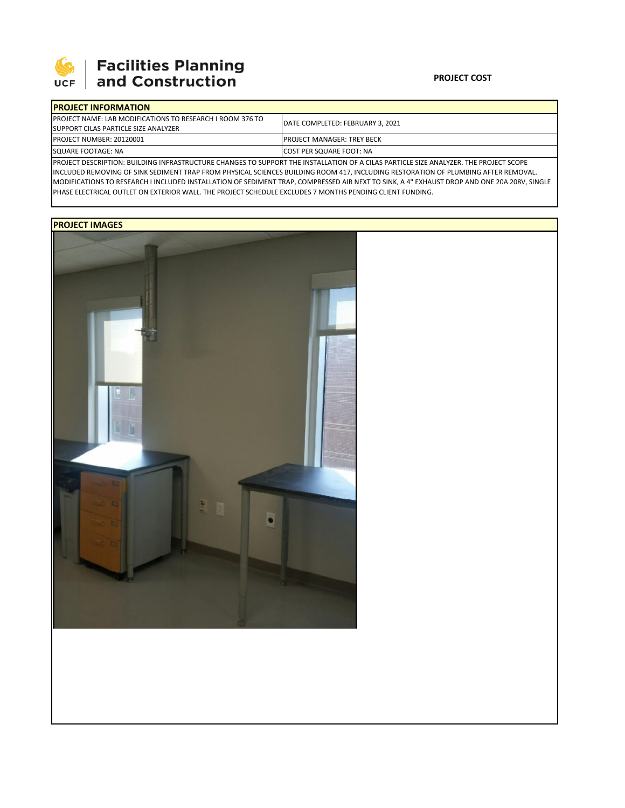

# 

### **PROJECT COST**

| <b>IPROJECT INFORMATION</b>                                       |                                          |  |  |  |  |
|-------------------------------------------------------------------|------------------------------------------|--|--|--|--|
| <b>IPROJECT NAME: LAB MODIFICATIONS TO RESEARCH I ROOM 376 TO</b> | <b>IDATE COMPLETED: FEBRUARY 3. 2021</b> |  |  |  |  |
| SUPPORT CILAS PARTICLE SIZE ANALYZER                              |                                          |  |  |  |  |
| <b>PROJECT NUMBER: 20120001</b>                                   | <b>IPROJECT MANAGER: TREY BECK</b>       |  |  |  |  |
| SQUARE FOOTAGE: NA                                                | <b>ICOST PER SQUARE FOOT: NA</b>         |  |  |  |  |
|                                                                   |                                          |  |  |  |  |

PROJECT DESCRIPTION: BUILDING INFRASTRUCTURE CHANGES TO SUPPORT THE INSTALLATION OF A CILAS PARTICLE SIZE ANALYZER. THE PROJECT SCOPE INCLUDED REMOVING OF SINK SEDIMENT TRAP FROM PHYSICAL SCIENCES BUILDING ROOM 417, INCLUDING RESTORATION OF PLUMBING AFTER REMOVAL. MODIFICATIONS TO RESEARCH I INCLUDED INSTALLATION OF SEDIMENT TRAP, COMPRESSED AIR NEXT TO SINK, A 4" EXHAUST DROP AND ONE 20A 208V, SINGLE PHASE ELECTRICAL OUTLET ON EXTERIOR WALL. THE PROJECT SCHEDULE EXCLUDES 7 MONTHS PENDING CLIENT FUNDING.

## **PROJECT IMAGES**